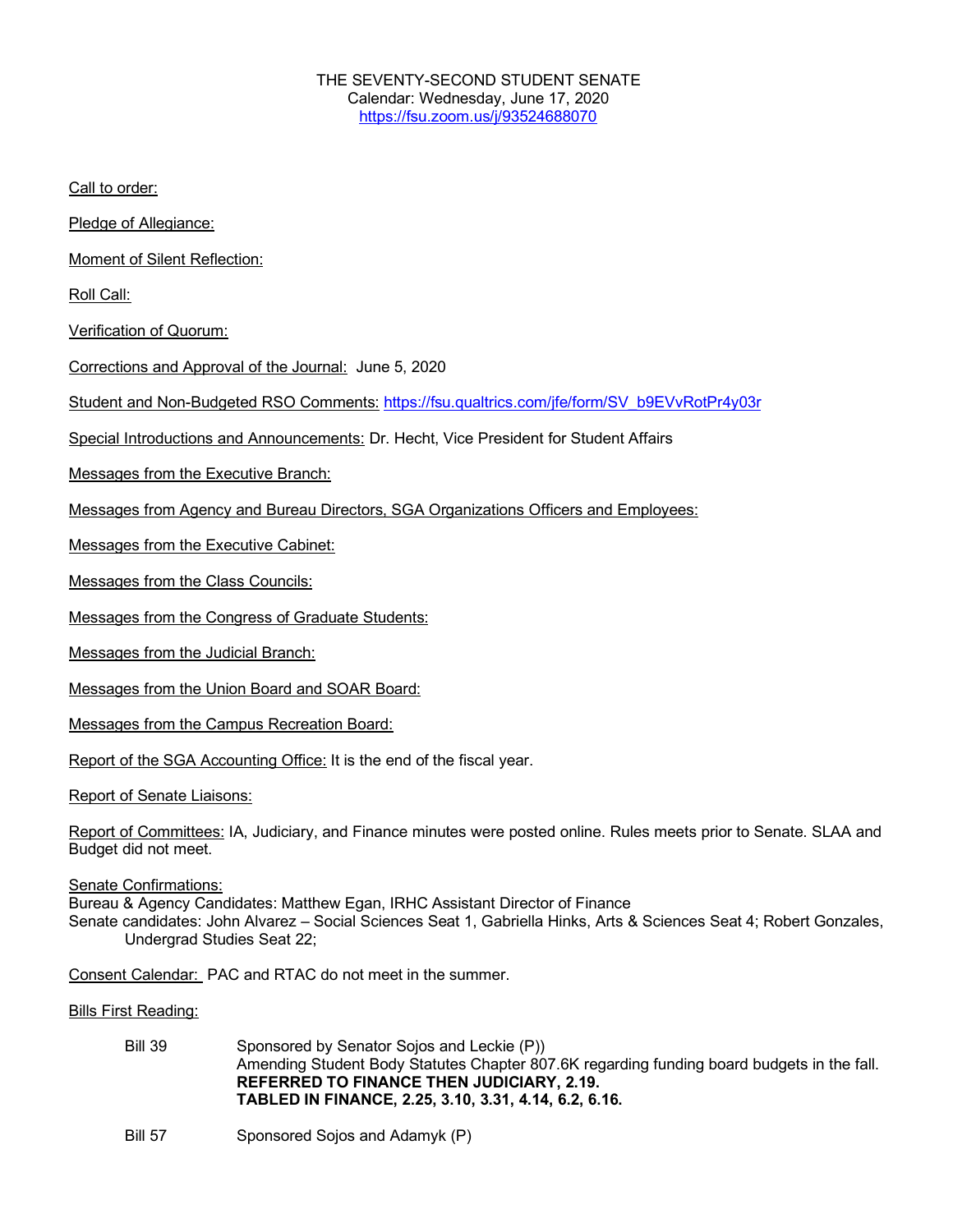Call to order:

Pledge of Allegiance:

Moment of Silent Reflection:

Roll Call:

Verification of Quorum:

Corrections and Approval of the Journal: June 5, 2020

Student and Non-Budgeted RSO Comments: https://fsu.qualtrics.com/jfe/form/SV\_b9EVvRotPr4y03r

Special Introductions and Announcements: Dr. Hecht, Vice President for Student Affairs

Messages from the Executive Branch:

Messages from Agency and Bureau Directors, SGA Organizations Officers and Employees:

Messages from the Executive Cabinet:

Messages from the Class Councils:

Messages from the Congress of Graduate Students:

Messages from the Judicial Branch:

Messages from the Union Board and SOAR Board:

Messages from the Campus Recreation Board:

Report of the SGA Accounting Office: It is the end of the fiscal year.

Report of Senate Liaisons:

Report of Committees: IA, Judiciary, and Finance minutes were posted online. Rules meets prior to Senate. SLAA and Budget did not meet.

Senate Confirmations:

Bureau & Agency Candidates: Matthew Egan, IRHC Assistant Director of Finance Senate candidates: John Alvarez – Social Sciences Seat 1, Gabriella Hinks, Arts & Sciences Seat 4; Robert Gonzales, Undergrad Studies Seat 22;

Consent Calendar: PAC and RTAC do not meet in the summer.

Bills First Reading:

- Bill 39 Sponsored by Senator Sojos and Leckie (P)) Amending Student Body Statutes Chapter 807.6K regarding funding board budgets in the fall. **REFERRED TO FINANCE THEN JUDICIARY, 2.19. TABLED IN FINANCE, 2.25, 3.10, 3.31, 4.14, 6.2, 6.16.**
- Bill 57 Sponsored Sojos and Adamyk (P)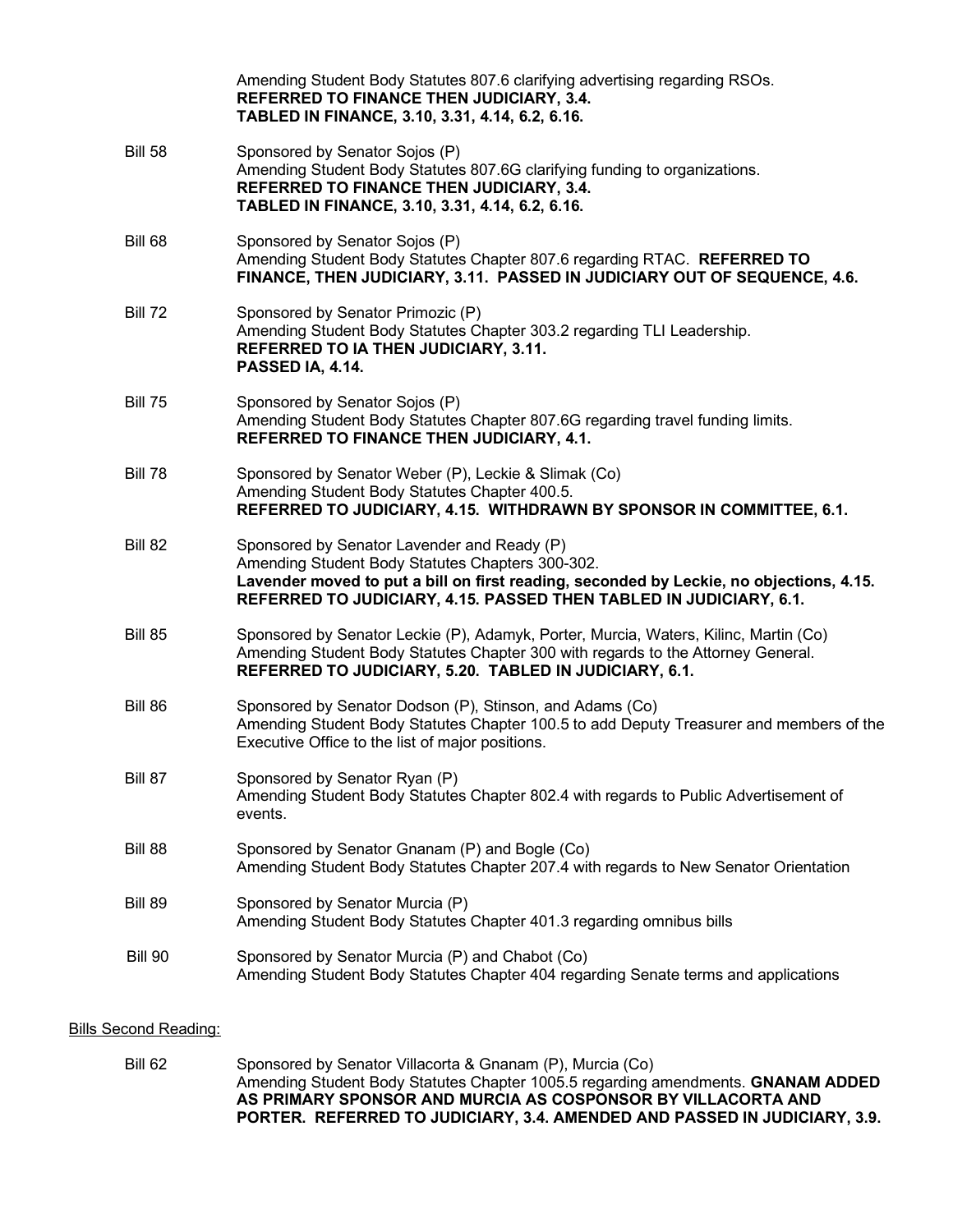|                | Amending Student Body Statutes 807.6 clarifying advertising regarding RSOs.<br>REFERRED TO FINANCE THEN JUDICIARY, 3.4.<br>TABLED IN FINANCE, 3.10, 3.31, 4.14, 6.2, 6.16.                                                                                       |
|----------------|------------------------------------------------------------------------------------------------------------------------------------------------------------------------------------------------------------------------------------------------------------------|
| <b>Bill 58</b> | Sponsored by Senator Sojos (P)<br>Amending Student Body Statutes 807.6G clarifying funding to organizations.<br>REFERRED TO FINANCE THEN JUDICIARY, 3.4.<br>TABLED IN FINANCE, 3.10, 3.31, 4.14, 6.2, 6.16.                                                      |
| Bill 68        | Sponsored by Senator Sojos (P)<br>Amending Student Body Statutes Chapter 807.6 regarding RTAC. REFERRED TO<br>FINANCE, THEN JUDICIARY, 3.11. PASSED IN JUDICIARY OUT OF SEQUENCE, 4.6.                                                                           |
| <b>Bill 72</b> | Sponsored by Senator Primozic (P)<br>Amending Student Body Statutes Chapter 303.2 regarding TLI Leadership.<br>REFERRED TO IA THEN JUDICIARY, 3.11.<br>PASSED IA, 4.14.                                                                                          |
| <b>Bill 75</b> | Sponsored by Senator Sojos (P)<br>Amending Student Body Statutes Chapter 807.6G regarding travel funding limits.<br>REFERRED TO FINANCE THEN JUDICIARY, 4.1.                                                                                                     |
| <b>Bill 78</b> | Sponsored by Senator Weber (P), Leckie & Slimak (Co)<br>Amending Student Body Statutes Chapter 400.5.<br>REFERRED TO JUDICIARY, 4.15. WITHDRAWN BY SPONSOR IN COMMITTEE, 6.1.                                                                                    |
| <b>Bill 82</b> | Sponsored by Senator Lavender and Ready (P)<br>Amending Student Body Statutes Chapters 300-302.<br>Lavender moved to put a bill on first reading, seconded by Leckie, no objections, 4.15.<br>REFERRED TO JUDICIARY, 4.15. PASSED THEN TABLED IN JUDICIARY, 6.1. |
| <b>Bill 85</b> | Sponsored by Senator Leckie (P), Adamyk, Porter, Murcia, Waters, Kilinc, Martin (Co)<br>Amending Student Body Statutes Chapter 300 with regards to the Attorney General.<br>REFERRED TO JUDICIARY, 5.20. TABLED IN JUDICIARY, 6.1.                               |
| Bill 86        | Sponsored by Senator Dodson (P), Stinson, and Adams (Co)<br>Amending Student Body Statutes Chapter 100.5 to add Deputy Treasurer and members of the<br>Executive Office to the list of major positions.                                                          |
| Bill 87        | Sponsored by Senator Ryan (P)<br>Amending Student Body Statutes Chapter 802.4 with regards to Public Advertisement of<br>events.                                                                                                                                 |
| Bill 88        | Sponsored by Senator Gnanam (P) and Bogle (Co)<br>Amending Student Body Statutes Chapter 207.4 with regards to New Senator Orientation                                                                                                                           |
| <b>Bill 89</b> | Sponsored by Senator Murcia (P)<br>Amending Student Body Statutes Chapter 401.3 regarding omnibus bills                                                                                                                                                          |
| <b>Bill 90</b> | Sponsored by Senator Murcia (P) and Chabot (Co)<br>Amending Student Body Statutes Chapter 404 regarding Senate terms and applications                                                                                                                            |
|                |                                                                                                                                                                                                                                                                  |

## Bills Second Reading:

Bill 62 Sponsored by Senator Villacorta & Gnanam (P), Murcia (Co) Amending Student Body Statutes Chapter 1005.5 regarding amendments. **GNANAM ADDED AS PRIMARY SPONSOR AND MURCIA AS COSPONSOR BY VILLACORTA AND PORTER. REFERRED TO JUDICIARY, 3.4. AMENDED AND PASSED IN JUDICIARY, 3.9.**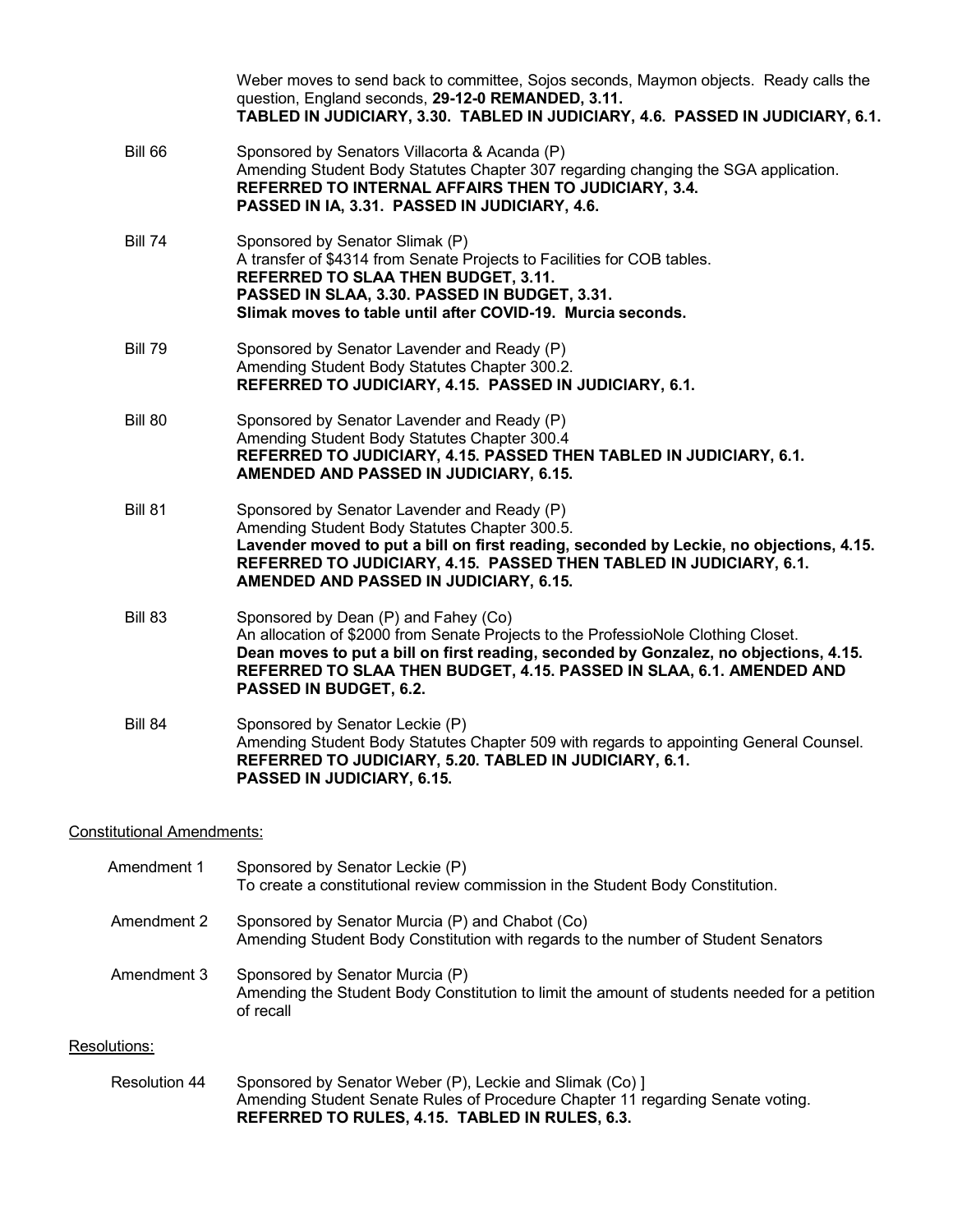|                | Weber moves to send back to committee, Sojos seconds, Maymon objects. Ready calls the<br>question, England seconds, 29-12-0 REMANDED, 3.11.<br>TABLED IN JUDICIARY, 3.30. TABLED IN JUDICIARY, 4.6. PASSED IN JUDICIARY, 6.1.                                                                                         |
|----------------|-----------------------------------------------------------------------------------------------------------------------------------------------------------------------------------------------------------------------------------------------------------------------------------------------------------------------|
| <b>Bill 66</b> | Sponsored by Senators Villacorta & Acanda (P)<br>Amending Student Body Statutes Chapter 307 regarding changing the SGA application.<br>REFERRED TO INTERNAL AFFAIRS THEN TO JUDICIARY, 3.4.<br>PASSED IN IA, 3.31. PASSED IN JUDICIARY, 4.6.                                                                          |
| <b>Bill 74</b> | Sponsored by Senator Slimak (P)<br>A transfer of \$4314 from Senate Projects to Facilities for COB tables.<br>REFERRED TO SLAA THEN BUDGET, 3.11.<br>PASSED IN SLAA, 3.30. PASSED IN BUDGET, 3.31.<br>Slimak moves to table until after COVID-19. Murcia seconds.                                                     |
| <b>Bill 79</b> | Sponsored by Senator Lavender and Ready (P)<br>Amending Student Body Statutes Chapter 300.2.<br>REFERRED TO JUDICIARY, 4.15. PASSED IN JUDICIARY, 6.1.                                                                                                                                                                |
| <b>Bill 80</b> | Sponsored by Senator Lavender and Ready (P)<br>Amending Student Body Statutes Chapter 300.4<br>REFERRED TO JUDICIARY, 4.15. PASSED THEN TABLED IN JUDICIARY, 6.1.<br>AMENDED AND PASSED IN JUDICIARY, 6.15.                                                                                                           |
| <b>Bill 81</b> | Sponsored by Senator Lavender and Ready (P)<br>Amending Student Body Statutes Chapter 300.5.<br>Lavender moved to put a bill on first reading, seconded by Leckie, no objections, 4.15.<br>REFERRED TO JUDICIARY, 4.15. PASSED THEN TABLED IN JUDICIARY, 6.1.<br>AMENDED AND PASSED IN JUDICIARY, 6.15.               |
| <b>Bill 83</b> | Sponsored by Dean (P) and Fahey (Co)<br>An allocation of \$2000 from Senate Projects to the ProfessioNole Clothing Closet.<br>Dean moves to put a bill on first reading, seconded by Gonzalez, no objections, 4.15.<br>REFERRED TO SLAA THEN BUDGET, 4.15. PASSED IN SLAA, 6.1. AMENDED AND<br>PASSED IN BUDGET, 6.2. |
| <b>Bill 84</b> | Sponsored by Senator Leckie (P)<br>Amending Student Body Statutes Chapter 509 with regards to appointing General Counsel.<br>REFERRED TO JUDICIARY, 5.20. TABLED IN JUDICIARY, 6.1.<br>PASSED IN JUDICIARY, 6.15.                                                                                                     |

## Constitutional Amendments:

| Amendment 1 | Sponsored by Senator Leckie (P)<br>To create a constitutional review commission in the Student Body Constitution.                            |
|-------------|----------------------------------------------------------------------------------------------------------------------------------------------|
| Amendment 2 | Sponsored by Senator Murcia (P) and Chabot (Co)<br>Amending Student Body Constitution with regards to the number of Student Senators         |
| Amendment 3 | Sponsored by Senator Murcia (P)<br>Amending the Student Body Constitution to limit the amount of students needed for a petition<br>of recall |

## Resolutions:

Resolution 44 Sponsored by Senator Weber (P), Leckie and Slimak (Co) ] Amending Student Senate Rules of Procedure Chapter 11 regarding Senate voting. **REFERRED TO RULES, 4.15. TABLED IN RULES, 6.3.**